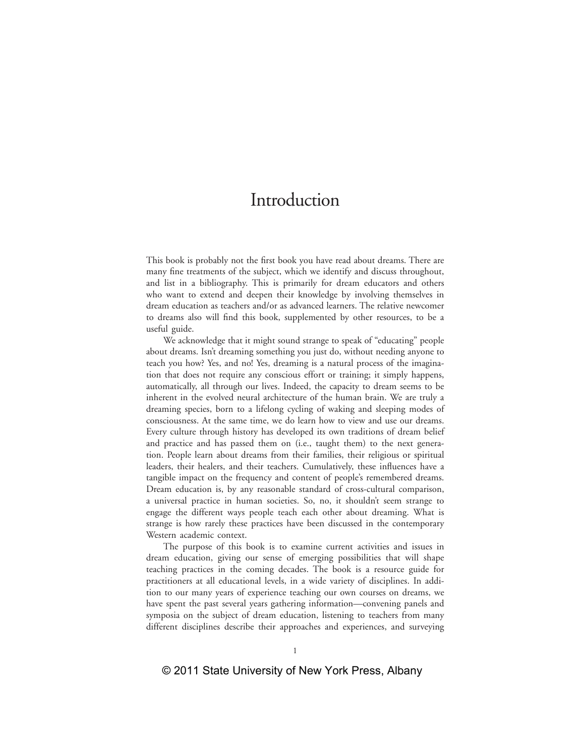This book is probably not the first book you have read about dreams. There are many fine treatments of the subject, which we identify and discuss throughout, and list in a bibliography. This is primarily for dream educators and others who want to extend and deepen their knowledge by involving themselves in dream education as teachers and/or as advanced learners. The relative newcomer to dreams also will find this book, supplemented by other resources, to be a useful guide.

We acknowledge that it might sound strange to speak of "educating" people about dreams. Isn't dreaming something you just do, without needing anyone to teach you how? Yes, and no! Yes, dreaming is a natural process of the imagination that does not require any conscious effort or training; it simply happens, automatically, all through our lives. Indeed, the capacity to dream seems to be inherent in the evolved neural architecture of the human brain. We are truly a dreaming species, born to a lifelong cycling of waking and sleeping modes of consciousness. At the same time, we do learn how to view and use our dreams. Every culture through history has developed its own traditions of dream belief and practice and has passed them on (i.e., taught them) to the next generation. People learn about dreams from their families, their religious or spiritual leaders, their healers, and their teachers. Cumulatively, these influences have a tangible impact on the frequency and content of people's remembered dreams. Dream education is, by any reasonable standard of cross-cultural comparison, a universal practice in human societies. So, no, it shouldn't seem strange to engage the different ways people teach each other about dreaming. What is strange is how rarely these practices have been discussed in the contemporary Western academic context.

The purpose of this book is to examine current activities and issues in dream education, giving our sense of emerging possibilities that will shape teaching practices in the coming decades. The book is a resource guide for practitioners at all educational levels, in a wide variety of disciplines. In addition to our many years of experience teaching our own courses on dreams, we have spent the past several years gathering information—convening panels and symposia on the subject of dream education, listening to teachers from many different disciplines describe their approaches and experiences, and surveying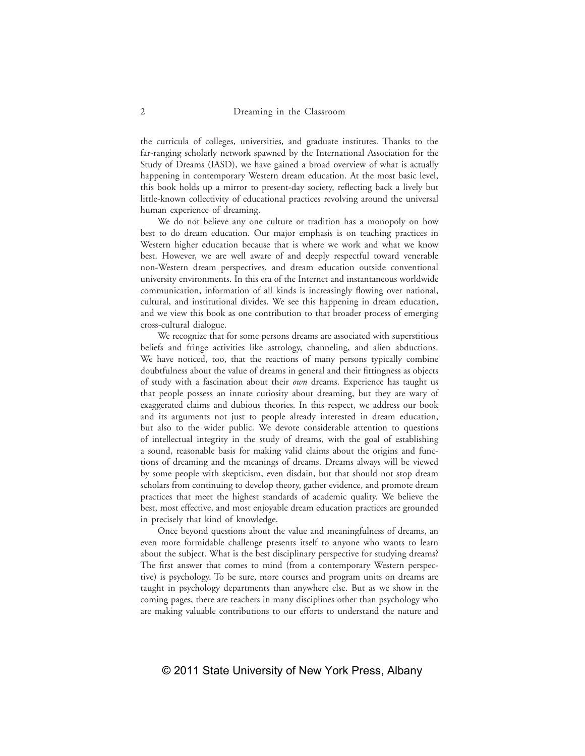the curricula of colleges, universities, and graduate institutes. Thanks to the far-ranging scholarly network spawned by the International Association for the Study of Dreams (IASD), we have gained a broad overview of what is actually happening in contemporary Western dream education. At the most basic level, this book holds up a mirror to present-day society, reflecting back a lively but little-known collectivity of educational practices revolving around the universal human experience of dreaming.

We do not believe any one culture or tradition has a monopoly on how best to do dream education. Our major emphasis is on teaching practices in Western higher education because that is where we work and what we know best. However, we are well aware of and deeply respectful toward venerable non-Western dream perspectives, and dream education outside conventional university environments. In this era of the Internet and instantaneous worldwide communication, information of all kinds is increasingly flowing over national, cultural, and institutional divides. We see this happening in dream education, and we view this book as one contribution to that broader process of emerging cross-cultural dialogue.

We recognize that for some persons dreams are associated with superstitious beliefs and fringe activities like astrology, channeling, and alien abductions. We have noticed, too, that the reactions of many persons typically combine doubtfulness about the value of dreams in general and their fittingness as objects of study with a fascination about their *own* dreams. Experience has taught us that people possess an innate curiosity about dreaming, but they are wary of exaggerated claims and dubious theories. In this respect, we address our book and its arguments not just to people already interested in dream education, but also to the wider public. We devote considerable attention to questions of intellectual integrity in the study of dreams, with the goal of establishing a sound, reasonable basis for making valid claims about the origins and functions of dreaming and the meanings of dreams. Dreams always will be viewed by some people with skepticism, even disdain, but that should not stop dream scholars from continuing to develop theory, gather evidence, and promote dream practices that meet the highest standards of academic quality. We believe the best, most effective, and most enjoyable dream education practices are grounded in precisely that kind of knowledge.

Once beyond questions about the value and meaningfulness of dreams, an even more formidable challenge presents itself to anyone who wants to learn about the subject. What is the best disciplinary perspective for studying dreams? The first answer that comes to mind (from a contemporary Western perspective) is psychology. To be sure, more courses and program units on dreams are taught in psychology departments than anywhere else. But as we show in the coming pages, there are teachers in many disciplines other than psychology who are making valuable contributions to our efforts to understand the nature and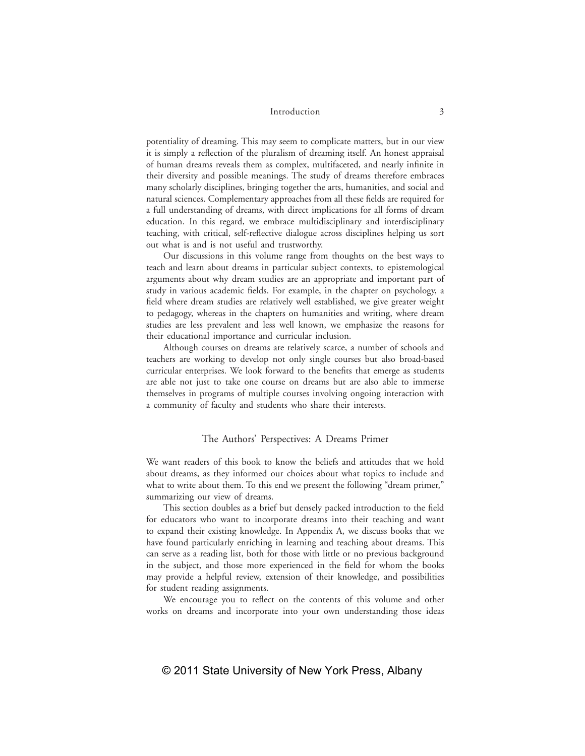potentiality of dreaming. This may seem to complicate matters, but in our view it is simply a reflection of the pluralism of dreaming itself. An honest appraisal of human dreams reveals them as complex, multifaceted, and nearly infinite in their diversity and possible meanings. The study of dreams therefore embraces many scholarly disciplines, bringing together the arts, humanities, and social and natural sciences. Complementary approaches from all these fields are required for a full understanding of dreams, with direct implications for all forms of dream education. In this regard, we embrace multidisciplinary and interdisciplinary teaching, with critical, self-reflective dialogue across disciplines helping us sort out what is and is not useful and trustworthy.

Our discussions in this volume range from thoughts on the best ways to teach and learn about dreams in particular subject contexts, to epistemological arguments about why dream studies are an appropriate and important part of study in various academic fields. For example, in the chapter on psychology, a field where dream studies are relatively well established, we give greater weight to pedagogy, whereas in the chapters on humanities and writing, where dream studies are less prevalent and less well known, we emphasize the reasons for their educational importance and curricular inclusion.

Although courses on dreams are relatively scarce, a number of schools and teachers are working to develop not only single courses but also broad-based curricular enterprises. We look forward to the benefits that emerge as students are able not just to take one course on dreams but are also able to immerse themselves in programs of multiple courses involving ongoing interaction with a community of faculty and students who share their interests.

### The Authors' Perspectives: A Dreams Primer

We want readers of this book to know the beliefs and attitudes that we hold about dreams, as they informed our choices about what topics to include and what to write about them. To this end we present the following "dream primer," summarizing our view of dreams.

This section doubles as a brief but densely packed introduction to the field for educators who want to incorporate dreams into their teaching and want to expand their existing knowledge. In Appendix A, we discuss books that we have found particularly enriching in learning and teaching about dreams. This can serve as a reading list, both for those with little or no previous background in the subject, and those more experienced in the field for whom the books may provide a helpful review, extension of their knowledge, and possibilities for student reading assignments.

We encourage you to reflect on the contents of this volume and other works on dreams and incorporate into your own understanding those ideas

# © 2011 State University of New York Press, Albany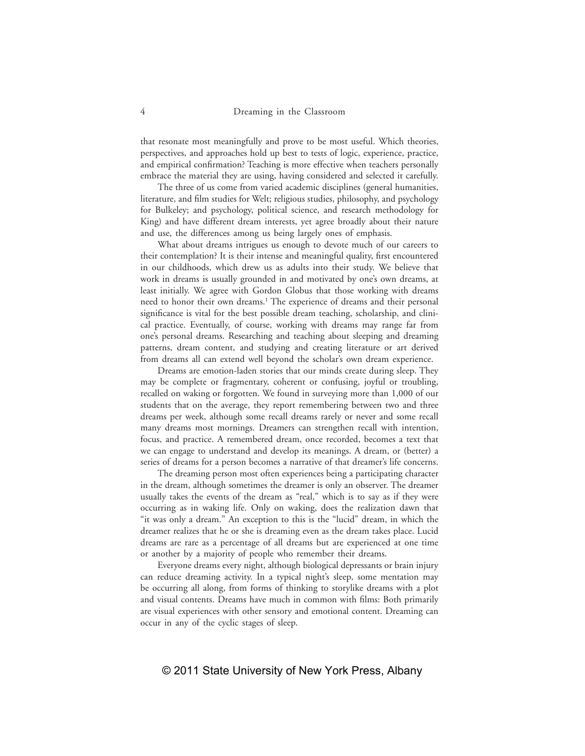that resonate most meaningfully and prove to be most useful. Which theories, perspectives, and approaches hold up best to tests of logic, experience, practice, and empirical confirmation? Teaching is more effective when teachers personally embrace the material they are using, having considered and selected it carefully.

The three of us come from varied academic disciplines (general humanities, literature, and film studies for Welt; religious studies, philosophy, and psychology for Bulkeley; and psychology, political science, and research methodology for King) and have different dream interests, yet agree broadly about their nature and use, the differences among us being largely ones of emphasis.

What about dreams intrigues us enough to devote much of our careers to their contemplation? It is their intense and meaningful quality, first encountered in our childhoods, which drew us as adults into their study. We believe that work in dreams is usually grounded in and motivated by one's own dreams, at least initially. We agree with Gordon Globus that those working with dreams need to honor their own dreams.<sup>1</sup> The experience of dreams and their personal significance is vital for the best possible dream teaching, scholarship, and clinical practice. Eventually, of course, working with dreams may range far from one's personal dreams. Researching and teaching about sleeping and dreaming patterns, dream content, and studying and creating literature or art derived from dreams all can extend well beyond the scholar's own dream experience.

Dreams are emotion-laden stories that our minds create during sleep. They may be complete or fragmentary, coherent or confusing, joyful or troubling, recalled on waking or forgotten. We found in surveying more than 1,000 of our students that on the average, they report remembering between two and three dreams per week, although some recall dreams rarely or never and some recall many dreams most mornings. Dreamers can strengthen recall with intention, focus, and practice. A remembered dream, once recorded, becomes a text that we can engage to understand and develop its meanings. A dream, or (better) a series of dreams for a person becomes a narrative of that dreamer's life concerns.

The dreaming person most often experiences being a participating character in the dream, although sometimes the dreamer is only an observer. The dreamer usually takes the events of the dream as "real," which is to say as if they were occurring as in waking life. Only on waking, does the realization dawn that "it was only a dream." An exception to this is the "lucid" dream, in which the dreamer realizes that he or she is dreaming even as the dream takes place. Lucid dreams are rare as a percentage of all dreams but are experienced at one time or another by a majority of people who remember their dreams.

Everyone dreams every night, although biological depressants or brain injury can reduce dreaming activity. In a typical night's sleep, some mentation may be occurring all along, from forms of thinking to storylike dreams with a plot and visual contents. Dreams have much in common with films: Both primarily are visual experiences with other sensory and emotional content. Dreaming can occur in any of the cyclic stages of sleep.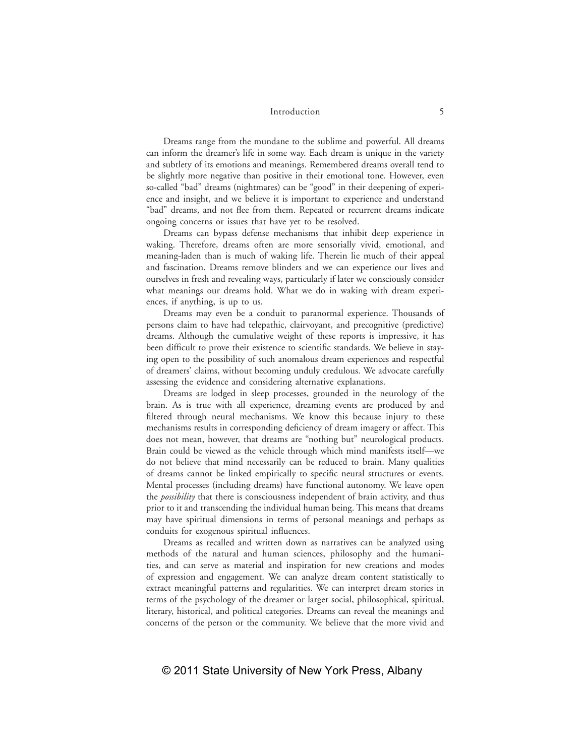Dreams range from the mundane to the sublime and powerful. All dreams can inform the dreamer's life in some way. Each dream is unique in the variety and subtlety of its emotions and meanings. Remembered dreams overall tend to be slightly more negative than positive in their emotional tone. However, even so-called "bad" dreams (nightmares) can be "good" in their deepening of experience and insight, and we believe it is important to experience and understand "bad" dreams, and not flee from them. Repeated or recurrent dreams indicate ongoing concerns or issues that have yet to be resolved.

Dreams can bypass defense mechanisms that inhibit deep experience in waking. Therefore, dreams often are more sensorially vivid, emotional, and meaning-laden than is much of waking life. Therein lie much of their appeal and fascination. Dreams remove blinders and we can experience our lives and ourselves in fresh and revealing ways, particularly if later we consciously consider what meanings our dreams hold. What we do in waking with dream experiences, if anything, is up to us.

Dreams may even be a conduit to paranormal experience. Thousands of persons claim to have had telepathic, clairvoyant, and precognitive (predictive) dreams. Although the cumulative weight of these reports is impressive, it has been difficult to prove their existence to scientific standards. We believe in staying open to the possibility of such anomalous dream experiences and respectful of dreamers' claims, without becoming unduly credulous. We advocate carefully assessing the evidence and considering alternative explanations.

Dreams are lodged in sleep processes, grounded in the neurology of the brain. As is true with all experience, dreaming events are produced by and filtered through neural mechanisms. We know this because injury to these mechanisms results in corresponding deficiency of dream imagery or affect. This does not mean, however, that dreams are "nothing but" neurological products. Brain could be viewed as the vehicle through which mind manifests itself—we do not believe that mind necessarily can be reduced to brain. Many qualities of dreams cannot be linked empirically to specific neural structures or events. Mental processes (including dreams) have functional autonomy. We leave open the *possibility* that there is consciousness independent of brain activity, and thus prior to it and transcending the individual human being. This means that dreams may have spiritual dimensions in terms of personal meanings and perhaps as conduits for exogenous spiritual influences.

Dreams as recalled and written down as narratives can be analyzed using methods of the natural and human sciences, philosophy and the humanities, and can serve as material and inspiration for new creations and modes of expression and engagement. We can analyze dream content statistically to extract meaningful patterns and regularities. We can interpret dream stories in terms of the psychology of the dreamer or larger social, philosophical, spiritual, literary, historical, and political categories. Dreams can reveal the meanings and concerns of the person or the community. We believe that the more vivid and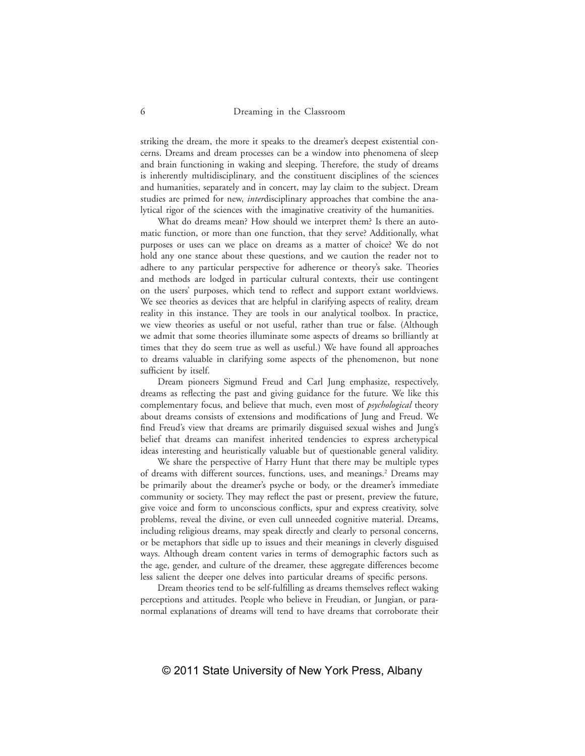striking the dream, the more it speaks to the dreamer's deepest existential concerns. Dreams and dream processes can be a window into phenomena of sleep and brain functioning in waking and sleeping. Therefore, the study of dreams is inherently multidisciplinary, and the constituent disciplines of the sciences and humanities, separately and in concert, may lay claim to the subject. Dream studies are primed for new, *inter*disciplinary approaches that combine the analytical rigor of the sciences with the imaginative creativity of the humanities.

What do dreams mean? How should we interpret them? Is there an automatic function, or more than one function, that they serve? Additionally, what purposes or uses can we place on dreams as a matter of choice? We do not hold any one stance about these questions, and we caution the reader not to adhere to any particular perspective for adherence or theory's sake. Theories and methods are lodged in particular cultural contexts, their use contingent on the users' purposes, which tend to reflect and support extant worldviews. We see theories as devices that are helpful in clarifying aspects of reality, dream reality in this instance. They are tools in our analytical toolbox. In practice, we view theories as useful or not useful, rather than true or false. (Although we admit that some theories illuminate some aspects of dreams so brilliantly at times that they do seem true as well as useful.) We have found all approaches to dreams valuable in clarifying some aspects of the phenomenon, but none sufficient by itself.

Dream pioneers Sigmund Freud and Carl Jung emphasize, respectively, dreams as reflecting the past and giving guidance for the future. We like this complementary focus, and believe that much, even most of *psychological* theory about dreams consists of extensions and modifications of Jung and Freud. We find Freud's view that dreams are primarily disguised sexual wishes and Jung's belief that dreams can manifest inherited tendencies to express archetypical ideas interesting and heuristically valuable but of questionable general validity.

We share the perspective of Harry Hunt that there may be multiple types of dreams with different sources, functions, uses, and meanings.<sup>2</sup> Dreams may be primarily about the dreamer's psyche or body, or the dreamer's immediate community or society. They may reflect the past or present, preview the future, give voice and form to unconscious conflicts, spur and express creativity, solve problems, reveal the divine, or even cull unneeded cognitive material. Dreams, including religious dreams, may speak directly and clearly to personal concerns, or be metaphors that sidle up to issues and their meanings in cleverly disguised ways. Although dream content varies in terms of demographic factors such as the age, gender, and culture of the dreamer, these aggregate differences become less salient the deeper one delves into particular dreams of specific persons.

Dream theories tend to be self-fulfilling as dreams themselves reflect waking perceptions and attitudes. People who believe in Freudian, or Jungian, or paranormal explanations of dreams will tend to have dreams that corroborate their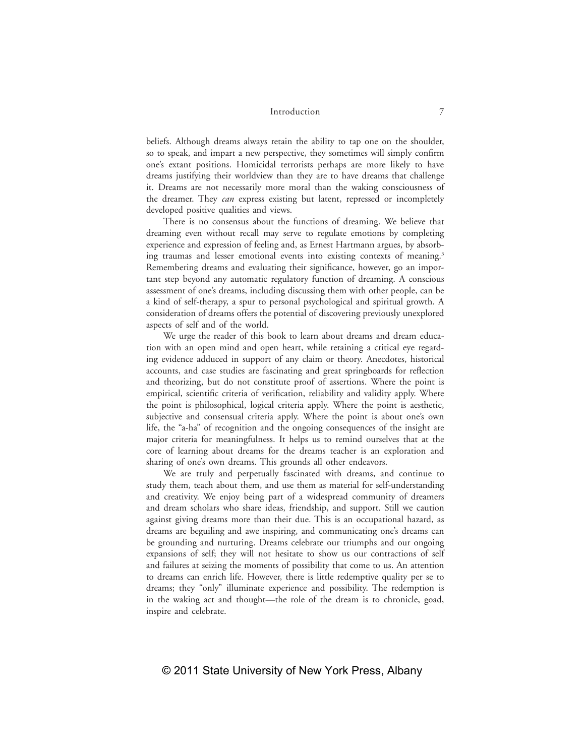beliefs. Although dreams always retain the ability to tap one on the shoulder, so to speak, and impart a new perspective, they sometimes will simply confirm one's extant positions. Homicidal terrorists perhaps are more likely to have dreams justifying their worldview than they are to have dreams that challenge it. Dreams are not necessarily more moral than the waking consciousness of the dreamer. They *can* express existing but latent, repressed or incompletely developed positive qualities and views.

There is no consensus about the functions of dreaming. We believe that dreaming even without recall may serve to regulate emotions by completing experience and expression of feeling and, as Ernest Hartmann argues, by absorbing traumas and lesser emotional events into existing contexts of meaning.<sup>3</sup> Remembering dreams and evaluating their significance, however, go an important step beyond any automatic regulatory function of dreaming. A conscious assessment of one's dreams, including discussing them with other people, can be a kind of self-therapy, a spur to personal psychological and spiritual growth. A consideration of dreams offers the potential of discovering previously unexplored aspects of self and of the world.

We urge the reader of this book to learn about dreams and dream education with an open mind and open heart, while retaining a critical eye regarding evidence adduced in support of any claim or theory. Anecdotes, historical accounts, and case studies are fascinating and great springboards for reflection and theorizing, but do not constitute proof of assertions. Where the point is empirical, scientific criteria of verification, reliability and validity apply. Where the point is philosophical, logical criteria apply. Where the point is aesthetic, subjective and consensual criteria apply. Where the point is about one's own life, the "a-ha" of recognition and the ongoing consequences of the insight are major criteria for meaningfulness. It helps us to remind ourselves that at the core of learning about dreams for the dreams teacher is an exploration and sharing of one's own dreams. This grounds all other endeavors.

We are truly and perpetually fascinated with dreams, and continue to study them, teach about them, and use them as material for self-understanding and creativity. We enjoy being part of a widespread community of dreamers and dream scholars who share ideas, friendship, and support. Still we caution against giving dreams more than their due. This is an occupational hazard, as dreams are beguiling and awe inspiring, and communicating one's dreams can be grounding and nurturing. Dreams celebrate our triumphs and our ongoing expansions of self; they will not hesitate to show us our contractions of self and failures at seizing the moments of possibility that come to us. An attention to dreams can enrich life. However, there is little redemptive quality per se to dreams; they "only" illuminate experience and possibility. The redemption is in the waking act and thought—the role of the dream is to chronicle, goad, inspire and celebrate.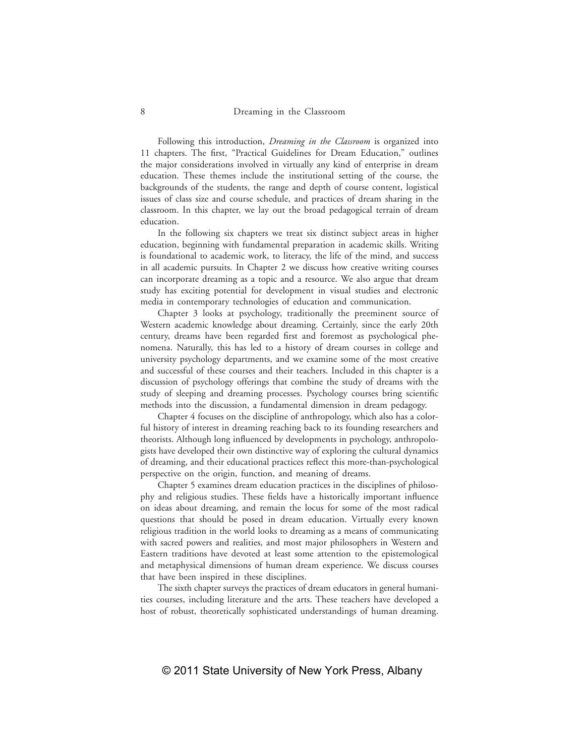Following this introduction, *Dreaming in the Classroom* is organized into 11 chapters. The first, "Practical Guidelines for Dream Education," outlines the major considerations involved in virtually any kind of enterprise in dream education. These themes include the institutional setting of the course, the backgrounds of the students, the range and depth of course content, logistical issues of class size and course schedule, and practices of dream sharing in the classroom. In this chapter, we lay out the broad pedagogical terrain of dream education.

In the following six chapters we treat six distinct subject areas in higher education, beginning with fundamental preparation in academic skills. Writing is foundational to academic work, to literacy, the life of the mind, and success in all academic pursuits. In Chapter 2 we discuss how creative writing courses can incorporate dreaming as a topic and a resource. We also argue that dream study has exciting potential for development in visual studies and electronic media in contemporary technologies of education and communication.

Chapter 3 looks at psychology, traditionally the preeminent source of Western academic knowledge about dreaming. Certainly, since the early 20th century, dreams have been regarded first and foremost as psychological phenomena. Naturally, this has led to a history of dream courses in college and university psychology departments, and we examine some of the most creative and successful of these courses and their teachers. Included in this chapter is a discussion of psychology offerings that combine the study of dreams with the study of sleeping and dreaming processes. Psychology courses bring scientific methods into the discussion, a fundamental dimension in dream pedagogy.

Chapter 4 focuses on the discipline of anthropology, which also has a colorful history of interest in dreaming reaching back to its founding researchers and theorists. Although long influenced by developments in psychology, anthropologists have developed their own distinctive way of exploring the cultural dynamics of dreaming, and their educational practices reflect this more-than-psychological perspective on the origin, function, and meaning of dreams.

Chapter 5 examines dream education practices in the disciplines of philosophy and religious studies. These fields have a historically important influence on ideas about dreaming, and remain the locus for some of the most radical questions that should be posed in dream education. Virtually every known religious tradition in the world looks to dreaming as a means of communicating with sacred powers and realities, and most major philosophers in Western and Eastern traditions have devoted at least some attention to the epistemological and metaphysical dimensions of human dream experience. We discuss courses that have been inspired in these disciplines.

The sixth chapter surveys the practices of dream educators in general humanities courses, including literature and the arts. These teachers have developed a host of robust, theoretically sophisticated understandings of human dreaming.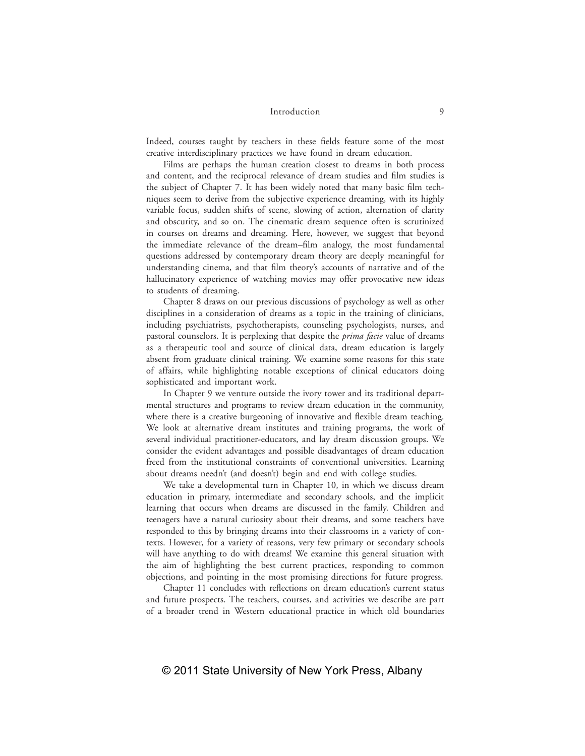Indeed, courses taught by teachers in these fields feature some of the most creative interdisciplinary practices we have found in dream education.

Films are perhaps the human creation closest to dreams in both process and content, and the reciprocal relevance of dream studies and film studies is the subject of Chapter 7. It has been widely noted that many basic film techniques seem to derive from the subjective experience dreaming, with its highly variable focus, sudden shifts of scene, slowing of action, alternation of clarity and obscurity, and so on. The cinematic dream sequence often is scrutinized in courses on dreams and dreaming. Here, however, we suggest that beyond the immediate relevance of the dream–film analogy, the most fundamental questions addressed by contemporary dream theory are deeply meaningful for understanding cinema, and that film theory's accounts of narrative and of the hallucinatory experience of watching movies may offer provocative new ideas to students of dreaming.

Chapter 8 draws on our previous discussions of psychology as well as other disciplines in a consideration of dreams as a topic in the training of clinicians, including psychiatrists, psychotherapists, counseling psychologists, nurses, and pastoral counselors. It is perplexing that despite the *prima facie* value of dreams as a therapeutic tool and source of clinical data, dream education is largely absent from graduate clinical training. We examine some reasons for this state of affairs, while highlighting notable exceptions of clinical educators doing sophisticated and important work.

In Chapter 9 we venture outside the ivory tower and its traditional departmental structures and programs to review dream education in the community, where there is a creative burgeoning of innovative and flexible dream teaching. We look at alternative dream institutes and training programs, the work of several individual practitioner-educators, and lay dream discussion groups. We consider the evident advantages and possible disadvantages of dream education freed from the institutional constraints of conventional universities. Learning about dreams needn't (and doesn't) begin and end with college studies.

We take a developmental turn in Chapter 10, in which we discuss dream education in primary, intermediate and secondary schools, and the implicit learning that occurs when dreams are discussed in the family. Children and teenagers have a natural curiosity about their dreams, and some teachers have responded to this by bringing dreams into their classrooms in a variety of contexts. However, for a variety of reasons, very few primary or secondary schools will have anything to do with dreams! We examine this general situation with the aim of highlighting the best current practices, responding to common objections, and pointing in the most promising directions for future progress.

Chapter 11 concludes with reflections on dream education's current status and future prospects. The teachers, courses, and activities we describe are part of a broader trend in Western educational practice in which old boundaries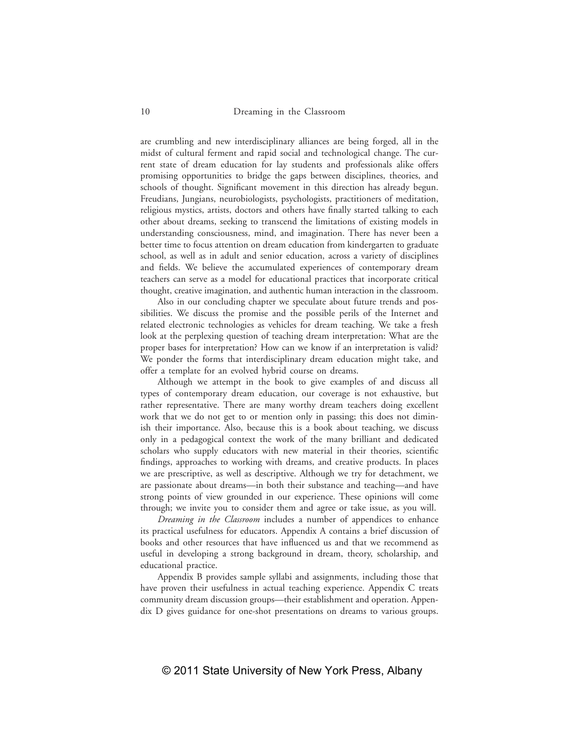are crumbling and new interdisciplinary alliances are being forged, all in the midst of cultural ferment and rapid social and technological change. The current state of dream education for lay students and professionals alike offers promising opportunities to bridge the gaps between disciplines, theories, and schools of thought. Significant movement in this direction has already begun. Freudians, Jungians, neurobiologists, psychologists, practitioners of meditation, religious mystics, artists, doctors and others have finally started talking to each other about dreams, seeking to transcend the limitations of existing models in understanding consciousness, mind, and imagination. There has never been a better time to focus attention on dream education from kindergarten to graduate school, as well as in adult and senior education, across a variety of disciplines and fields. We believe the accumulated experiences of contemporary dream teachers can serve as a model for educational practices that incorporate critical thought, creative imagination, and authentic human interaction in the classroom.

Also in our concluding chapter we speculate about future trends and possibilities. We discuss the promise and the possible perils of the Internet and related electronic technologies as vehicles for dream teaching. We take a fresh look at the perplexing question of teaching dream interpretation: What are the proper bases for interpretation? How can we know if an interpretation is valid? We ponder the forms that interdisciplinary dream education might take, and offer a template for an evolved hybrid course on dreams.

Although we attempt in the book to give examples of and discuss all types of contemporary dream education, our coverage is not exhaustive, but rather representative. There are many worthy dream teachers doing excellent work that we do not get to or mention only in passing; this does not diminish their importance. Also, because this is a book about teaching, we discuss only in a pedagogical context the work of the many brilliant and dedicated scholars who supply educators with new material in their theories, scientific findings, approaches to working with dreams, and creative products. In places we are prescriptive, as well as descriptive. Although we try for detachment, we are passionate about dreams—in both their substance and teaching—and have strong points of view grounded in our experience. These opinions will come through; we invite you to consider them and agree or take issue, as you will.

*Dreaming in the Classroom* includes a number of appendices to enhance its practical usefulness for educators. Appendix A contains a brief discussion of books and other resources that have influenced us and that we recommend as useful in developing a strong background in dream, theory, scholarship, and educational practice.

Appendix B provides sample syllabi and assignments, including those that have proven their usefulness in actual teaching experience. Appendix C treats community dream discussion groups—their establishment and operation. Appendix D gives guidance for one-shot presentations on dreams to various groups.